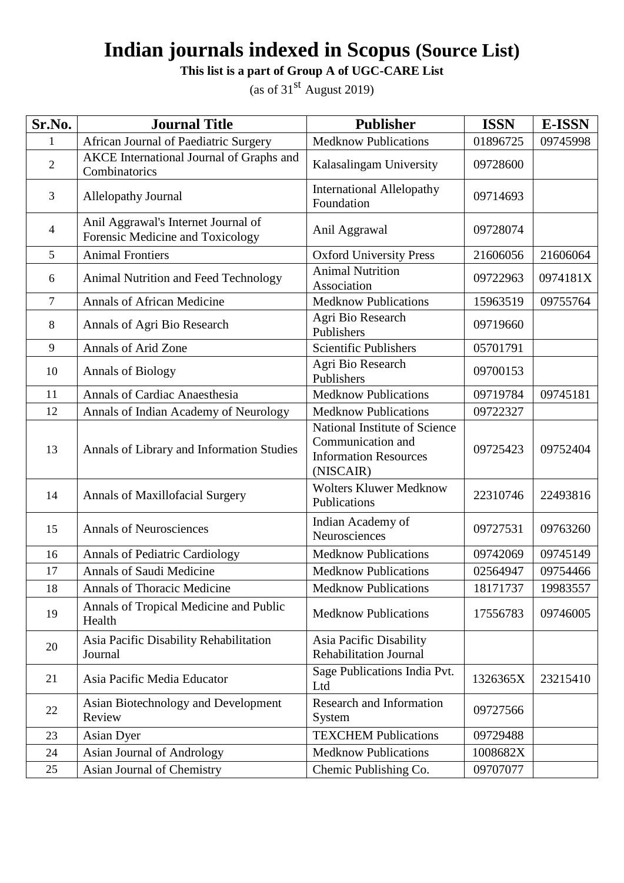**This list is a part of Group A of UGC-CARE List**

| Sr.No.         | <b>Journal Title</b>                                                    | <b>Publisher</b>                                                                                | <b>ISSN</b> | <b>E-ISSN</b> |
|----------------|-------------------------------------------------------------------------|-------------------------------------------------------------------------------------------------|-------------|---------------|
| 1              | African Journal of Paediatric Surgery                                   | <b>Medknow Publications</b>                                                                     | 01896725    | 09745998      |
| $\overline{2}$ | AKCE International Journal of Graphs and<br>Combinatorics               | Kalasalingam University                                                                         | 09728600    |               |
| 3              | Allelopathy Journal                                                     | <b>International Allelopathy</b><br>Foundation                                                  | 09714693    |               |
| $\overline{4}$ | Anil Aggrawal's Internet Journal of<br>Forensic Medicine and Toxicology | Anil Aggrawal                                                                                   | 09728074    |               |
| 5              | <b>Animal Frontiers</b>                                                 | <b>Oxford University Press</b>                                                                  | 21606056    | 21606064      |
| 6              | Animal Nutrition and Feed Technology                                    | <b>Animal Nutrition</b><br>Association                                                          | 09722963    | 0974181X      |
| $\tau$         | <b>Annals of African Medicine</b>                                       | <b>Medknow Publications</b>                                                                     | 15963519    | 09755764      |
| 8              | Annals of Agri Bio Research                                             | Agri Bio Research<br>Publishers                                                                 | 09719660    |               |
| 9              | Annals of Arid Zone                                                     | <b>Scientific Publishers</b>                                                                    | 05701791    |               |
| 10             | <b>Annals of Biology</b>                                                | Agri Bio Research<br>Publishers                                                                 | 09700153    |               |
| 11             | Annals of Cardiac Anaesthesia                                           | <b>Medknow Publications</b>                                                                     | 09719784    | 09745181      |
| 12             | Annals of Indian Academy of Neurology                                   | <b>Medknow Publications</b>                                                                     | 09722327    |               |
| 13             | Annals of Library and Information Studies                               | National Institute of Science<br>Communication and<br><b>Information Resources</b><br>(NISCAIR) | 09725423    | 09752404      |
| 14             | Annals of Maxillofacial Surgery                                         | <b>Wolters Kluwer Medknow</b><br>Publications                                                   | 22310746    | 22493816      |
| 15             | <b>Annals of Neurosciences</b>                                          | Indian Academy of<br>Neurosciences                                                              | 09727531    | 09763260      |
| 16             | <b>Annals of Pediatric Cardiology</b>                                   | <b>Medknow Publications</b>                                                                     | 09742069    | 09745149      |
| 17             | Annals of Saudi Medicine                                                | <b>Medknow Publications</b>                                                                     | 02564947    | 09754466      |
| 18             | <b>Annals of Thoracic Medicine</b>                                      | <b>Medknow Publications</b>                                                                     | 18171737    | 19983557      |
| 19             | Annals of Tropical Medicine and Public<br>Health                        | <b>Medknow Publications</b>                                                                     | 17556783    | 09746005      |
| 20             | Asia Pacific Disability Rehabilitation<br>Journal                       | Asia Pacific Disability<br><b>Rehabilitation Journal</b>                                        |             |               |
| 21             | Asia Pacific Media Educator                                             | Sage Publications India Pvt.<br>Ltd                                                             | 1326365X    | 23215410      |
| 22             | Asian Biotechnology and Development<br>Review                           | Research and Information<br>System                                                              | 09727566    |               |
| 23             | Asian Dyer                                                              | <b>TEXCHEM Publications</b>                                                                     | 09729488    |               |
| 24             | Asian Journal of Andrology                                              | <b>Medknow Publications</b>                                                                     | 1008682X    |               |
| 25             | Asian Journal of Chemistry                                              | Chemic Publishing Co.                                                                           | 09707077    |               |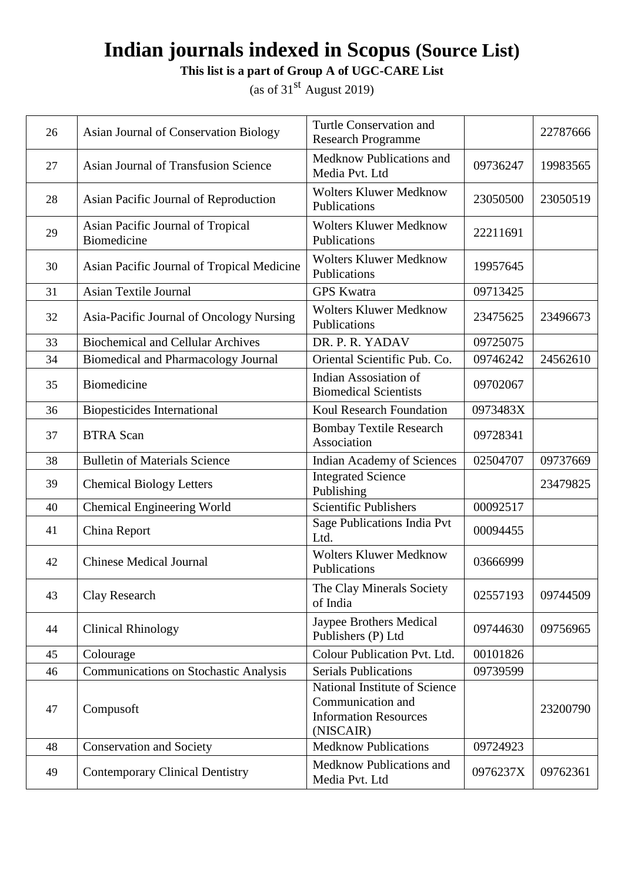**This list is a part of Group A of UGC-CARE List**

| 26 | Asian Journal of Conservation Biology                   | Turtle Conservation and<br><b>Research Programme</b>                                            |          | 22787666 |
|----|---------------------------------------------------------|-------------------------------------------------------------------------------------------------|----------|----------|
| 27 | <b>Asian Journal of Transfusion Science</b>             | Medknow Publications and<br>Media Pvt. Ltd                                                      | 09736247 | 19983565 |
| 28 | Asian Pacific Journal of Reproduction                   | <b>Wolters Kluwer Medknow</b><br>Publications                                                   | 23050500 | 23050519 |
| 29 | Asian Pacific Journal of Tropical<br><b>Biomedicine</b> | <b>Wolters Kluwer Medknow</b><br>Publications                                                   | 22211691 |          |
| 30 | Asian Pacific Journal of Tropical Medicine              | <b>Wolters Kluwer Medknow</b><br>Publications                                                   | 19957645 |          |
| 31 | <b>Asian Textile Journal</b>                            | <b>GPS</b> Kwatra                                                                               | 09713425 |          |
| 32 | Asia-Pacific Journal of Oncology Nursing                | <b>Wolters Kluwer Medknow</b><br>Publications                                                   | 23475625 | 23496673 |
| 33 | <b>Biochemical and Cellular Archives</b>                | DR. P. R. YADAV                                                                                 | 09725075 |          |
| 34 | <b>Biomedical and Pharmacology Journal</b>              | Oriental Scientific Pub. Co.                                                                    | 09746242 | 24562610 |
| 35 | <b>Biomedicine</b>                                      | Indian Assosiation of<br><b>Biomedical Scientists</b>                                           | 09702067 |          |
| 36 | <b>Biopesticides International</b>                      | Koul Research Foundation                                                                        | 0973483X |          |
| 37 | <b>BTRA Scan</b>                                        | <b>Bombay Textile Research</b><br>Association                                                   | 09728341 |          |
| 38 | <b>Bulletin of Materials Science</b>                    | <b>Indian Academy of Sciences</b>                                                               | 02504707 | 09737669 |
| 39 | <b>Chemical Biology Letters</b>                         | <b>Integrated Science</b><br>Publishing                                                         |          | 23479825 |
| 40 | <b>Chemical Engineering World</b>                       | <b>Scientific Publishers</b>                                                                    | 00092517 |          |
| 41 | China Report                                            | Sage Publications India Pvt<br>Ltd.                                                             | 00094455 |          |
| 42 | <b>Chinese Medical Journal</b>                          | <b>Wolters Kluwer Medknow</b><br>Publications                                                   | 03666999 |          |
| 43 | Clay Research                                           | The Clay Minerals Society<br>of India                                                           | 02557193 | 09744509 |
| 44 | <b>Clinical Rhinology</b>                               | Jaypee Brothers Medical<br>Publishers (P) Ltd                                                   | 09744630 | 09756965 |
| 45 | Colourage                                               | Colour Publication Pvt. Ltd.                                                                    | 00101826 |          |
| 46 | <b>Communications on Stochastic Analysis</b>            | <b>Serials Publications</b>                                                                     | 09739599 |          |
| 47 | Compusoft                                               | National Institute of Science<br>Communication and<br><b>Information Resources</b><br>(NISCAIR) |          | 23200790 |
| 48 | <b>Conservation and Society</b>                         | <b>Medknow Publications</b>                                                                     | 09724923 |          |
| 49 | <b>Contemporary Clinical Dentistry</b>                  | Medknow Publications and<br>Media Pvt. Ltd                                                      | 0976237X | 09762361 |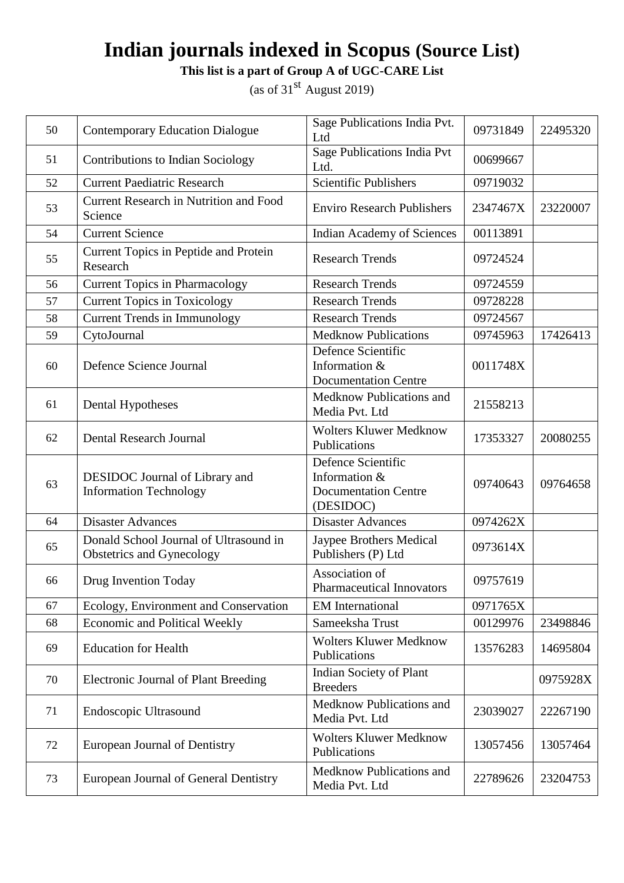**This list is a part of Group A of UGC-CARE List**

| 50 | <b>Contemporary Education Dialogue</b>                              | Sage Publications India Pvt.<br>Ltd                                             | 09731849 | 22495320 |
|----|---------------------------------------------------------------------|---------------------------------------------------------------------------------|----------|----------|
| 51 | Contributions to Indian Sociology                                   | Sage Publications India Pvt<br>Ltd.                                             | 00699667 |          |
| 52 | <b>Current Paediatric Research</b>                                  | <b>Scientific Publishers</b>                                                    | 09719032 |          |
| 53 | <b>Current Research in Nutrition and Food</b><br>Science            | <b>Enviro Research Publishers</b>                                               | 2347467X | 23220007 |
| 54 | <b>Current Science</b>                                              | Indian Academy of Sciences                                                      | 00113891 |          |
| 55 | Current Topics in Peptide and Protein<br>Research                   | <b>Research Trends</b>                                                          | 09724524 |          |
| 56 | <b>Current Topics in Pharmacology</b>                               | <b>Research Trends</b>                                                          | 09724559 |          |
| 57 | <b>Current Topics in Toxicology</b>                                 | <b>Research Trends</b>                                                          | 09728228 |          |
| 58 | <b>Current Trends in Immunology</b>                                 | <b>Research Trends</b>                                                          | 09724567 |          |
| 59 | CytoJournal                                                         | <b>Medknow Publications</b>                                                     | 09745963 | 17426413 |
| 60 | Defence Science Journal                                             | Defence Scientific<br>Information &<br><b>Documentation Centre</b>              | 0011748X |          |
| 61 | Dental Hypotheses                                                   | Medknow Publications and<br>Media Pvt. Ltd                                      | 21558213 |          |
| 62 | <b>Dental Research Journal</b>                                      | <b>Wolters Kluwer Medknow</b><br>Publications                                   | 17353327 | 20080255 |
| 63 | DESIDOC Journal of Library and<br><b>Information Technology</b>     | Defence Scientific<br>Information &<br><b>Documentation Centre</b><br>(DESIDOC) | 09740643 | 09764658 |
| 64 | <b>Disaster Advances</b>                                            | <b>Disaster Advances</b>                                                        | 0974262X |          |
| 65 | Donald School Journal of Ultrasound in<br>Obstetrics and Gynecology | Jaypee Brothers Medical<br>Publishers (P) Ltd                                   | 0973614X |          |
| 66 | Drug Invention Today                                                | Association of<br><b>Pharmaceutical Innovators</b>                              | 09757619 |          |
| 67 | Ecology, Environment and Conservation                               | <b>EM</b> International                                                         | 0971765X |          |
| 68 | <b>Economic and Political Weekly</b>                                | Sameeksha Trust                                                                 | 00129976 | 23498846 |
| 69 | <b>Education for Health</b>                                         | <b>Wolters Kluwer Medknow</b><br>Publications                                   | 13576283 | 14695804 |
| 70 | Electronic Journal of Plant Breeding                                | <b>Indian Society of Plant</b><br><b>Breeders</b>                               |          | 0975928X |
| 71 | Endoscopic Ultrasound                                               | Medknow Publications and<br>Media Pvt. Ltd                                      | 23039027 | 22267190 |
| 72 | <b>European Journal of Dentistry</b>                                | <b>Wolters Kluwer Medknow</b><br>Publications                                   | 13057456 | 13057464 |
| 73 | European Journal of General Dentistry                               | Medknow Publications and<br>Media Pvt. Ltd                                      | 22789626 | 23204753 |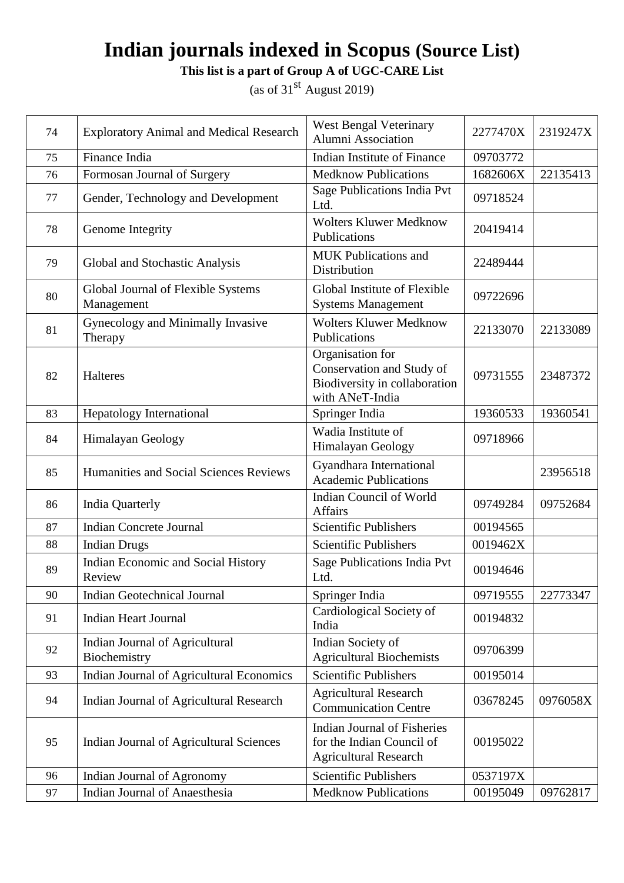**This list is a part of Group A of UGC-CARE List**

| 74 | <b>Exploratory Animal and Medical Research</b>   | <b>West Bengal Veterinary</b><br>Alumni Association                                               | 2277470X | 2319247X |
|----|--------------------------------------------------|---------------------------------------------------------------------------------------------------|----------|----------|
| 75 | Finance India                                    | Indian Institute of Finance                                                                       | 09703772 |          |
| 76 | Formosan Journal of Surgery                      | <b>Medknow Publications</b>                                                                       | 1682606X | 22135413 |
| 77 | Gender, Technology and Development               | Sage Publications India Pvt<br>Ltd.                                                               | 09718524 |          |
| 78 | Genome Integrity                                 | Wolters Kluwer Medknow<br>Publications                                                            | 20419414 |          |
| 79 | Global and Stochastic Analysis                   | <b>MUK Publications and</b><br>Distribution                                                       | 22489444 |          |
| 80 | Global Journal of Flexible Systems<br>Management | Global Institute of Flexible<br><b>Systems Management</b>                                         | 09722696 |          |
| 81 | Gynecology and Minimally Invasive<br>Therapy     | <b>Wolters Kluwer Medknow</b><br>Publications                                                     | 22133070 | 22133089 |
| 82 | Halteres                                         | Organisation for<br>Conservation and Study of<br>Biodiversity in collaboration<br>with ANeT-India | 09731555 | 23487372 |
| 83 | Hepatology International                         | Springer India                                                                                    | 19360533 | 19360541 |
| 84 | Himalayan Geology                                | Wadia Institute of<br>Himalayan Geology                                                           | 09718966 |          |
| 85 | Humanities and Social Sciences Reviews           | Gyandhara International<br><b>Academic Publications</b>                                           |          | 23956518 |
| 86 | <b>India Quarterly</b>                           | Indian Council of World<br><b>Affairs</b>                                                         | 09749284 | 09752684 |
| 87 | <b>Indian Concrete Journal</b>                   | <b>Scientific Publishers</b>                                                                      | 00194565 |          |
| 88 | <b>Indian Drugs</b>                              | <b>Scientific Publishers</b>                                                                      | 0019462X |          |
| 89 | Indian Economic and Social History<br>Review     | Sage Publications India Pvt<br>Ltd.                                                               | 00194646 |          |
| 90 | <b>Indian Geotechnical Journal</b>               | Springer India                                                                                    | 09719555 | 22773347 |
| 91 | <b>Indian Heart Journal</b>                      | Cardiological Society of<br>India                                                                 | 00194832 |          |
| 92 | Indian Journal of Agricultural<br>Biochemistry   | Indian Society of<br><b>Agricultural Biochemists</b>                                              | 09706399 |          |
| 93 | Indian Journal of Agricultural Economics         | <b>Scientific Publishers</b>                                                                      | 00195014 |          |
| 94 | Indian Journal of Agricultural Research          | <b>Agricultural Research</b><br><b>Communication Centre</b>                                       | 03678245 | 0976058X |
| 95 | Indian Journal of Agricultural Sciences          | <b>Indian Journal of Fisheries</b><br>for the Indian Council of<br><b>Agricultural Research</b>   | 00195022 |          |
| 96 | Indian Journal of Agronomy                       | <b>Scientific Publishers</b>                                                                      | 0537197X |          |
| 97 | Indian Journal of Anaesthesia                    | <b>Medknow Publications</b>                                                                       | 00195049 | 09762817 |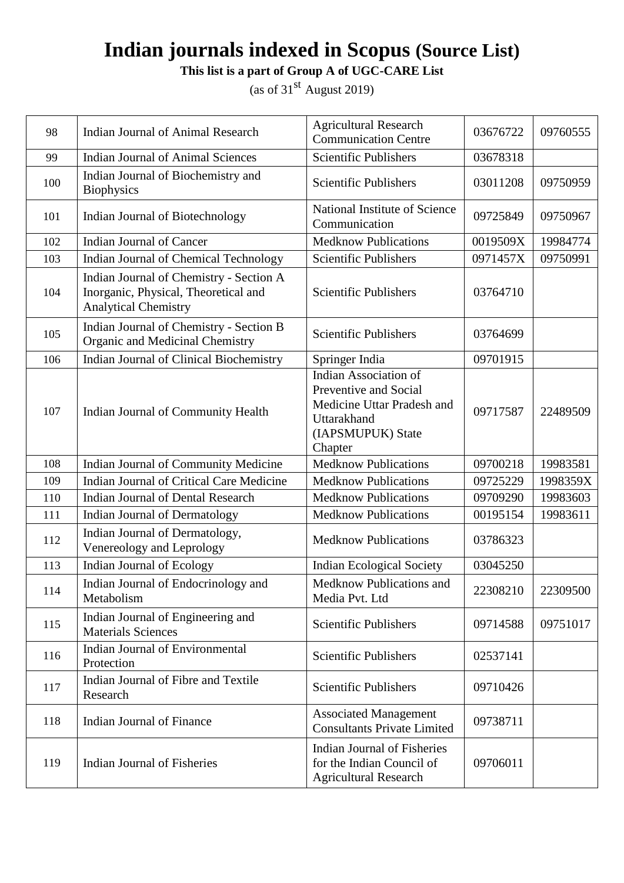**This list is a part of Group A of UGC-CARE List**

| 98  | Indian Journal of Animal Research                                                                              | <b>Agricultural Research</b><br><b>Communication Centre</b>                                                                        | 03676722 | 09760555 |
|-----|----------------------------------------------------------------------------------------------------------------|------------------------------------------------------------------------------------------------------------------------------------|----------|----------|
| 99  | <b>Indian Journal of Animal Sciences</b>                                                                       | <b>Scientific Publishers</b>                                                                                                       | 03678318 |          |
| 100 | Indian Journal of Biochemistry and<br><b>Biophysics</b>                                                        | Scientific Publishers                                                                                                              | 03011208 | 09750959 |
| 101 | Indian Journal of Biotechnology                                                                                | National Institute of Science<br>Communication                                                                                     | 09725849 | 09750967 |
| 102 | <b>Indian Journal of Cancer</b>                                                                                | <b>Medknow Publications</b>                                                                                                        | 0019509X | 19984774 |
| 103 | Indian Journal of Chemical Technology                                                                          | <b>Scientific Publishers</b>                                                                                                       | 0971457X | 09750991 |
| 104 | Indian Journal of Chemistry - Section A<br>Inorganic, Physical, Theoretical and<br><b>Analytical Chemistry</b> | Scientific Publishers                                                                                                              | 03764710 |          |
| 105 | Indian Journal of Chemistry - Section B<br>Organic and Medicinal Chemistry                                     | Scientific Publishers                                                                                                              | 03764699 |          |
| 106 | Indian Journal of Clinical Biochemistry                                                                        | Springer India                                                                                                                     | 09701915 |          |
| 107 | Indian Journal of Community Health                                                                             | <b>Indian Association of</b><br>Preventive and Social<br>Medicine Uttar Pradesh and<br>Uttarakhand<br>(IAPSMUPUK) State<br>Chapter | 09717587 | 22489509 |
| 108 | Indian Journal of Community Medicine                                                                           | <b>Medknow Publications</b>                                                                                                        | 09700218 | 19983581 |
| 109 | Indian Journal of Critical Care Medicine                                                                       | <b>Medknow Publications</b>                                                                                                        | 09725229 | 1998359X |
| 110 | <b>Indian Journal of Dental Research</b>                                                                       | <b>Medknow Publications</b>                                                                                                        | 09709290 | 19983603 |
| 111 | Indian Journal of Dermatology                                                                                  | <b>Medknow Publications</b>                                                                                                        | 00195154 | 19983611 |
| 112 | Indian Journal of Dermatology,<br>Venereology and Leprology                                                    | <b>Medknow Publications</b>                                                                                                        | 03786323 |          |
| 113 | Indian Journal of Ecology                                                                                      | <b>Indian Ecological Society</b>                                                                                                   | 03045250 |          |
| 114 | Indian Journal of Endocrinology and<br>Metabolism                                                              | Medknow Publications and<br>Media Pvt. Ltd                                                                                         | 22308210 | 22309500 |
| 115 | Indian Journal of Engineering and<br><b>Materials Sciences</b>                                                 | Scientific Publishers                                                                                                              | 09714588 | 09751017 |
| 116 | Indian Journal of Environmental<br>Protection                                                                  | <b>Scientific Publishers</b>                                                                                                       | 02537141 |          |
| 117 | Indian Journal of Fibre and Textile<br>Research                                                                | <b>Scientific Publishers</b>                                                                                                       | 09710426 |          |
| 118 | Indian Journal of Finance                                                                                      | <b>Associated Management</b><br><b>Consultants Private Limited</b>                                                                 | 09738711 |          |
| 119 | <b>Indian Journal of Fisheries</b>                                                                             | <b>Indian Journal of Fisheries</b><br>for the Indian Council of<br><b>Agricultural Research</b>                                    | 09706011 |          |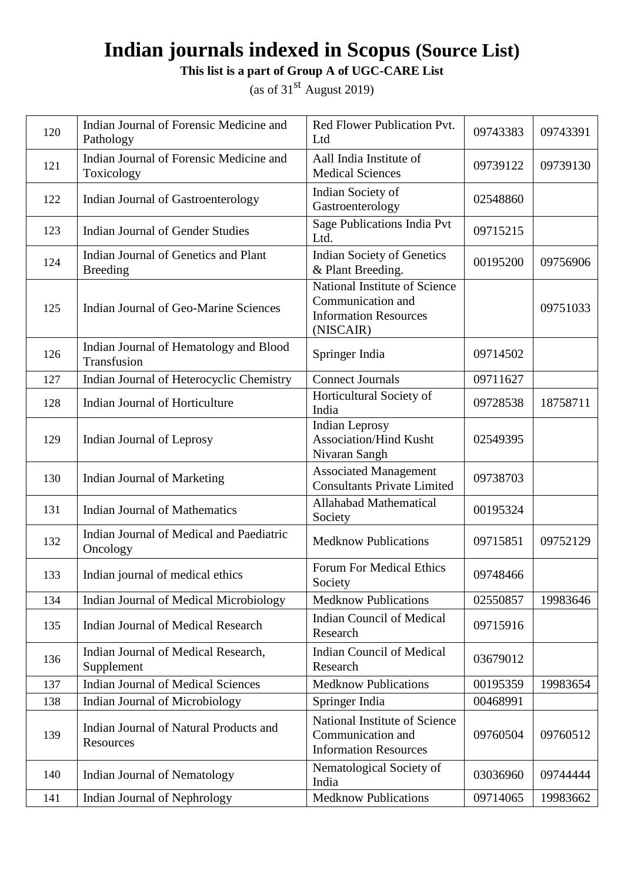**This list is a part of Group A of UGC-CARE List**

| 120 | Indian Journal of Forensic Medicine and<br>Pathology    | Red Flower Publication Pvt.<br>Ltd                                                              | 09743383 | 09743391 |
|-----|---------------------------------------------------------|-------------------------------------------------------------------------------------------------|----------|----------|
| 121 | Indian Journal of Forensic Medicine and<br>Toxicology   | Aall India Institute of<br><b>Medical Sciences</b>                                              | 09739122 | 09739130 |
| 122 | Indian Journal of Gastroenterology                      | Indian Society of<br>Gastroenterology                                                           | 02548860 |          |
| 123 | <b>Indian Journal of Gender Studies</b>                 | Sage Publications India Pvt<br>Ltd.                                                             | 09715215 |          |
| 124 | Indian Journal of Genetics and Plant<br><b>Breeding</b> | <b>Indian Society of Genetics</b><br>& Plant Breeding.                                          | 00195200 | 09756906 |
| 125 | Indian Journal of Geo-Marine Sciences                   | National Institute of Science<br>Communication and<br><b>Information Resources</b><br>(NISCAIR) |          | 09751033 |
| 126 | Indian Journal of Hematology and Blood<br>Transfusion   | Springer India                                                                                  | 09714502 |          |
| 127 | Indian Journal of Heterocyclic Chemistry                | <b>Connect Journals</b>                                                                         | 09711627 |          |
| 128 | Indian Journal of Horticulture                          | Horticultural Society of<br>India                                                               | 09728538 | 18758711 |
| 129 | Indian Journal of Leprosy                               | Indian Leprosy<br><b>Association/Hind Kusht</b><br>Nivaran Sangh                                | 02549395 |          |
| 130 | Indian Journal of Marketing                             | <b>Associated Management</b><br><b>Consultants Private Limited</b>                              | 09738703 |          |
| 131 | <b>Indian Journal of Mathematics</b>                    | Allahabad Mathematical<br>Society                                                               | 00195324 |          |
| 132 | Indian Journal of Medical and Paediatric<br>Oncology    | <b>Medknow Publications</b>                                                                     | 09715851 | 09752129 |
| 133 | Indian journal of medical ethics                        | <b>Forum For Medical Ethics</b><br>Society                                                      | 09748466 |          |
| 134 | Indian Journal of Medical Microbiology                  | <b>Medknow Publications</b>                                                                     | 02550857 | 19983646 |
| 135 | <b>Indian Journal of Medical Research</b>               | <b>Indian Council of Medical</b><br>Research                                                    | 09715916 |          |
| 136 | Indian Journal of Medical Research,<br>Supplement       | <b>Indian Council of Medical</b><br>Research                                                    | 03679012 |          |
| 137 | <b>Indian Journal of Medical Sciences</b>               | <b>Medknow Publications</b>                                                                     | 00195359 | 19983654 |
| 138 | Indian Journal of Microbiology                          | Springer India                                                                                  | 00468991 |          |
| 139 | Indian Journal of Natural Products and<br>Resources     | National Institute of Science<br>Communication and<br><b>Information Resources</b>              | 09760504 | 09760512 |
| 140 | Indian Journal of Nematology                            | Nematological Society of<br>India                                                               | 03036960 | 09744444 |
| 141 | Indian Journal of Nephrology                            | <b>Medknow Publications</b>                                                                     | 09714065 | 19983662 |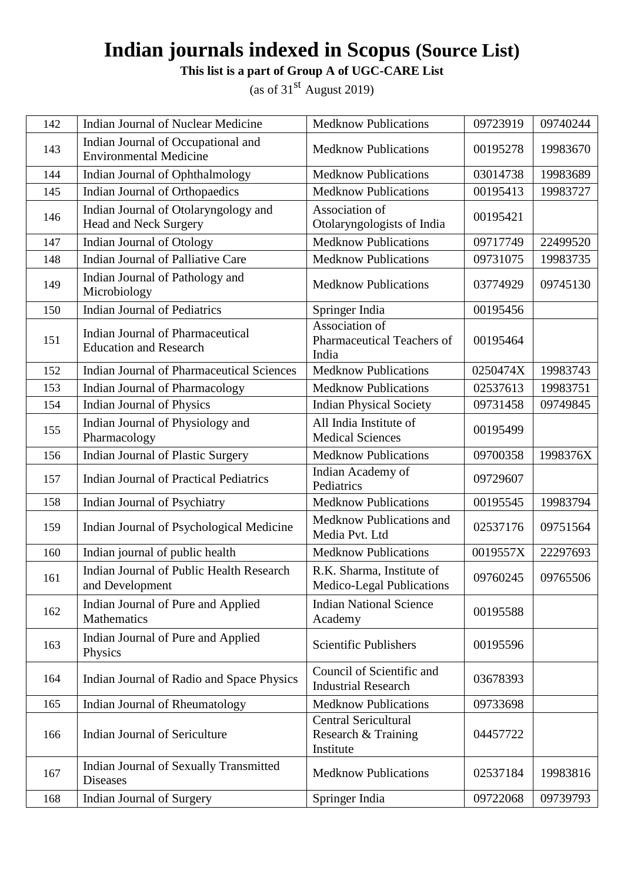**This list is a part of Group A of UGC-CARE List**

| 142 | <b>Indian Journal of Nuclear Medicine</b>                                | <b>Medknow Publications</b>                                     | 09723919 | 09740244 |
|-----|--------------------------------------------------------------------------|-----------------------------------------------------------------|----------|----------|
| 143 | Indian Journal of Occupational and<br><b>Environmental Medicine</b>      | <b>Medknow Publications</b>                                     | 00195278 | 19983670 |
| 144 | Indian Journal of Ophthalmology                                          | <b>Medknow Publications</b>                                     | 03014738 | 19983689 |
| 145 | Indian Journal of Orthopaedics                                           | <b>Medknow Publications</b>                                     | 00195413 | 19983727 |
| 146 | Indian Journal of Otolaryngology and<br><b>Head and Neck Surgery</b>     | Association of<br>Otolaryngologists of India                    | 00195421 |          |
| 147 | Indian Journal of Otology                                                | <b>Medknow Publications</b>                                     | 09717749 | 22499520 |
| 148 | Indian Journal of Palliative Care                                        | <b>Medknow Publications</b>                                     | 09731075 | 19983735 |
| 149 | Indian Journal of Pathology and<br>Microbiology                          | <b>Medknow Publications</b>                                     | 03774929 | 09745130 |
| 150 | <b>Indian Journal of Pediatrics</b>                                      | Springer India                                                  | 00195456 |          |
| 151 | <b>Indian Journal of Pharmaceutical</b><br><b>Education and Research</b> | Association of<br>Pharmaceutical Teachers of<br>India           | 00195464 |          |
| 152 | <b>Indian Journal of Pharmaceutical Sciences</b>                         | <b>Medknow Publications</b>                                     | 0250474X | 19983743 |
| 153 | <b>Indian Journal of Pharmacology</b>                                    | <b>Medknow Publications</b>                                     | 02537613 | 19983751 |
| 154 | Indian Journal of Physics                                                | <b>Indian Physical Society</b>                                  | 09731458 | 09749845 |
| 155 | Indian Journal of Physiology and<br>Pharmacology                         | All India Institute of<br><b>Medical Sciences</b>               | 00195499 |          |
| 156 | Indian Journal of Plastic Surgery                                        | <b>Medknow Publications</b>                                     | 09700358 | 1998376X |
| 157 | <b>Indian Journal of Practical Pediatrics</b>                            | Indian Academy of<br>Pediatrics                                 | 09729607 |          |
| 158 | Indian Journal of Psychiatry                                             | <b>Medknow Publications</b>                                     | 00195545 | 19983794 |
| 159 | Indian Journal of Psychological Medicine                                 | Medknow Publications and<br>Media Pvt. Ltd                      | 02537176 | 09751564 |
| 160 | Indian journal of public health                                          | <b>Medknow Publications</b>                                     | 0019557X | 22297693 |
| 161 | <b>Indian Journal of Public Health Research</b><br>and Development       | R.K. Sharma, Institute of<br>Medico-Legal Publications          | 09760245 | 09765506 |
| 162 | Indian Journal of Pure and Applied<br>Mathematics                        | <b>Indian National Science</b><br>Academy                       | 00195588 |          |
| 163 | Indian Journal of Pure and Applied<br>Physics                            | <b>Scientific Publishers</b>                                    | 00195596 |          |
| 164 | Indian Journal of Radio and Space Physics                                | Council of Scientific and<br><b>Industrial Research</b>         | 03678393 |          |
| 165 | Indian Journal of Rheumatology                                           | <b>Medknow Publications</b>                                     | 09733698 |          |
| 166 | Indian Journal of Sericulture                                            | <b>Central Sericultural</b><br>Research & Training<br>Institute | 04457722 |          |
| 167 | Indian Journal of Sexually Transmitted<br><b>Diseases</b>                | <b>Medknow Publications</b>                                     | 02537184 | 19983816 |
| 168 | Indian Journal of Surgery                                                | Springer India                                                  | 09722068 | 09739793 |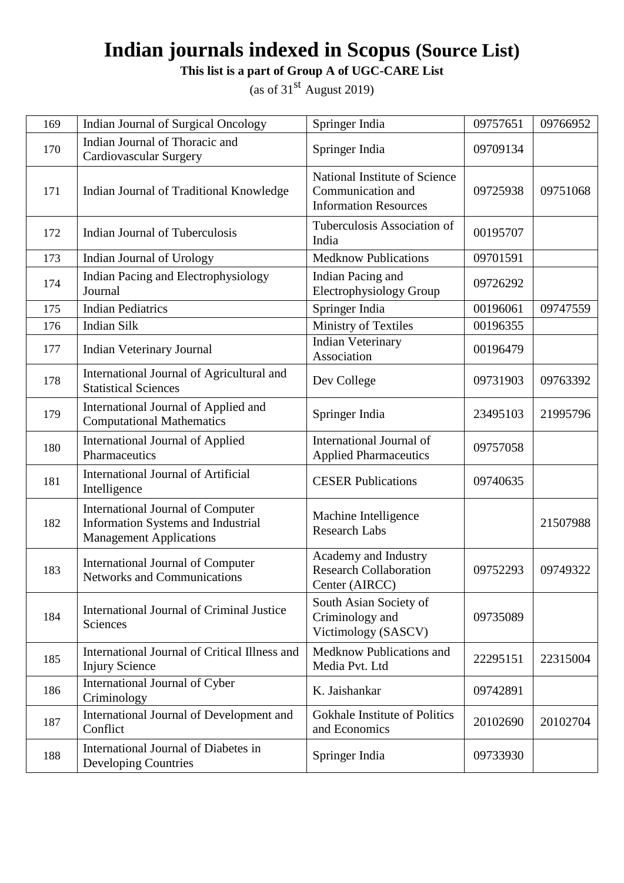**This list is a part of Group A of UGC-CARE List**

| 169 | <b>Indian Journal of Surgical Oncology</b>                                                                              | Springer India                                                                     | 09757651 | 09766952 |
|-----|-------------------------------------------------------------------------------------------------------------------------|------------------------------------------------------------------------------------|----------|----------|
| 170 | Indian Journal of Thoracic and<br>Cardiovascular Surgery                                                                | Springer India                                                                     | 09709134 |          |
| 171 | Indian Journal of Traditional Knowledge                                                                                 | National Institute of Science<br>Communication and<br><b>Information Resources</b> | 09725938 | 09751068 |
| 172 | <b>Indian Journal of Tuberculosis</b>                                                                                   | Tuberculosis Association of<br>India                                               | 00195707 |          |
| 173 | Indian Journal of Urology                                                                                               | <b>Medknow Publications</b>                                                        | 09701591 |          |
| 174 | Indian Pacing and Electrophysiology<br>Journal                                                                          | Indian Pacing and<br>Electrophysiology Group                                       | 09726292 |          |
| 175 | <b>Indian Pediatrics</b>                                                                                                | Springer India                                                                     | 00196061 | 09747559 |
| 176 | <b>Indian Silk</b>                                                                                                      | Ministry of Textiles                                                               | 00196355 |          |
| 177 | <b>Indian Veterinary Journal</b>                                                                                        | <b>Indian Veterinary</b><br>Association                                            | 00196479 |          |
| 178 | International Journal of Agricultural and<br><b>Statistical Sciences</b>                                                | Dev College                                                                        | 09731903 | 09763392 |
| 179 | International Journal of Applied and<br><b>Computational Mathematics</b>                                                | Springer India                                                                     | 23495103 | 21995796 |
| 180 | <b>International Journal of Applied</b><br>Pharmaceutics                                                                | International Journal of<br><b>Applied Pharmaceutics</b>                           | 09757058 |          |
| 181 | <b>International Journal of Artificial</b><br>Intelligence                                                              | <b>CESER Publications</b>                                                          | 09740635 |          |
| 182 | <b>International Journal of Computer</b><br><b>Information Systems and Industrial</b><br><b>Management Applications</b> | Machine Intelligence<br><b>Research Labs</b>                                       |          | 21507988 |
| 183 | International Journal of Computer<br>Networks and Communications                                                        | Academy and Industry<br><b>Research Collaboration</b><br>Center (AIRCC)            | 09752293 | 09749322 |
| 184 | International Journal of Criminal Justice<br>Sciences                                                                   | South Asian Society of<br>Criminology and<br>Victimology (SASCV)                   | 09735089 |          |
| 185 | International Journal of Critical Illness and<br><b>Injury Science</b>                                                  | Medknow Publications and<br>Media Pvt. Ltd                                         | 22295151 | 22315004 |
| 186 | International Journal of Cyber<br>Criminology                                                                           | K. Jaishankar                                                                      | 09742891 |          |
| 187 | International Journal of Development and<br>Conflict                                                                    | <b>Gokhale Institute of Politics</b><br>and Economics                              | 20102690 | 20102704 |
| 188 | International Journal of Diabetes in<br><b>Developing Countries</b>                                                     | Springer India                                                                     | 09733930 |          |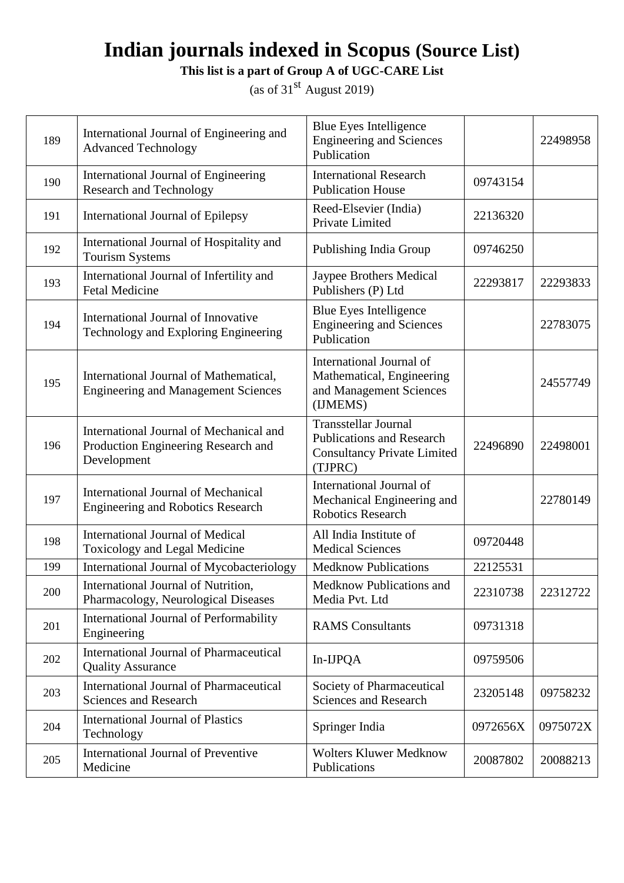**This list is a part of Group A of UGC-CARE List**

| 189 | International Journal of Engineering and<br><b>Advanced Technology</b>                        | <b>Blue Eyes Intelligence</b><br><b>Engineering and Sciences</b><br>Publication                                  |          | 22498958 |
|-----|-----------------------------------------------------------------------------------------------|------------------------------------------------------------------------------------------------------------------|----------|----------|
| 190 | International Journal of Engineering<br><b>Research and Technology</b>                        | <b>International Research</b><br><b>Publication House</b>                                                        | 09743154 |          |
| 191 | International Journal of Epilepsy                                                             | Reed-Elsevier (India)<br>Private Limited                                                                         | 22136320 |          |
| 192 | International Journal of Hospitality and<br><b>Tourism Systems</b>                            | Publishing India Group                                                                                           | 09746250 |          |
| 193 | International Journal of Infertility and<br><b>Fetal Medicine</b>                             | Jaypee Brothers Medical<br>Publishers (P) Ltd                                                                    | 22293817 | 22293833 |
| 194 | International Journal of Innovative<br>Technology and Exploring Engineering                   | Blue Eyes Intelligence<br><b>Engineering and Sciences</b><br>Publication                                         |          | 22783075 |
| 195 | International Journal of Mathematical,<br><b>Engineering and Management Sciences</b>          | International Journal of<br>Mathematical, Engineering<br>and Management Sciences<br>(IJMEMS)                     |          | 24557749 |
| 196 | International Journal of Mechanical and<br>Production Engineering Research and<br>Development | <b>Transstellar Journal</b><br><b>Publications and Research</b><br><b>Consultancy Private Limited</b><br>(TJPRC) | 22496890 | 22498001 |
| 197 | <b>International Journal of Mechanical</b><br><b>Engineering and Robotics Research</b>        | International Journal of<br>Mechanical Engineering and<br><b>Robotics Research</b>                               |          | 22780149 |
| 198 | <b>International Journal of Medical</b><br>Toxicology and Legal Medicine                      | All India Institute of<br><b>Medical Sciences</b>                                                                | 09720448 |          |
| 199 | International Journal of Mycobacteriology                                                     | <b>Medknow Publications</b>                                                                                      | 22125531 |          |
| 200 | International Journal of Nutrition,<br>Pharmacology, Neurological Diseases                    | Medknow Publications and<br>Media Pvt. Ltd                                                                       | 22310738 | 22312722 |
| 201 | International Journal of Performability<br>Engineering                                        | <b>RAMS</b> Consultants                                                                                          | 09731318 |          |
| 202 | <b>International Journal of Pharmaceutical</b><br><b>Quality Assurance</b>                    | In-IJPQA                                                                                                         | 09759506 |          |
| 203 | <b>International Journal of Pharmaceutical</b><br><b>Sciences and Research</b>                | Society of Pharmaceutical<br>Sciences and Research                                                               | 23205148 | 09758232 |
| 204 | <b>International Journal of Plastics</b><br>Technology                                        | Springer India                                                                                                   | 0972656X | 0975072X |
| 205 | <b>International Journal of Preventive</b><br>Medicine                                        | <b>Wolters Kluwer Medknow</b><br>Publications                                                                    | 20087802 | 20088213 |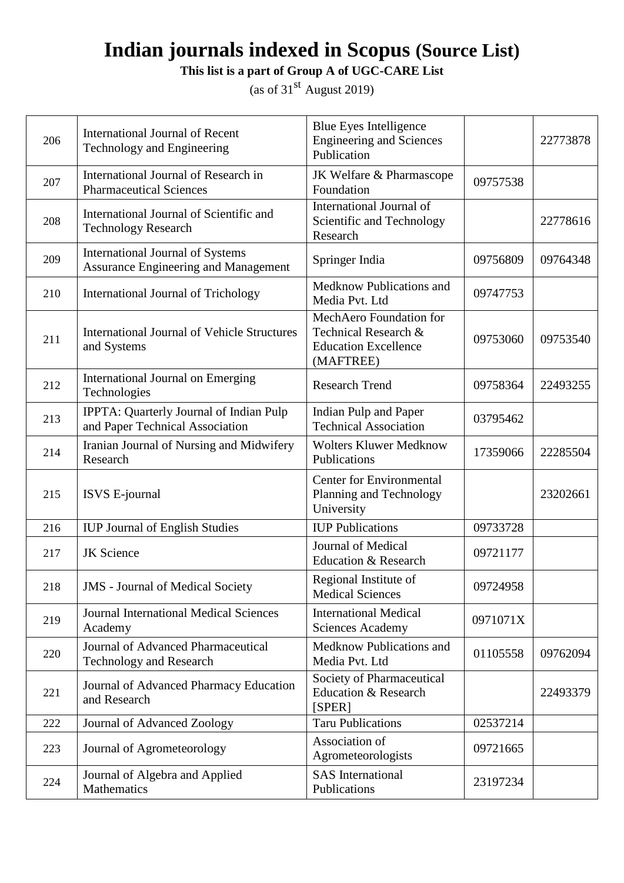**This list is a part of Group A of UGC-CARE List**

| 206 | <b>International Journal of Recent</b><br>Technology and Engineering            | Blue Eyes Intelligence<br><b>Engineering and Sciences</b><br>Publication                    |          | 22773878 |
|-----|---------------------------------------------------------------------------------|---------------------------------------------------------------------------------------------|----------|----------|
| 207 | International Journal of Research in<br><b>Pharmaceutical Sciences</b>          | JK Welfare & Pharmascope<br>Foundation                                                      | 09757538 |          |
| 208 | International Journal of Scientific and<br><b>Technology Research</b>           | International Journal of<br>Scientific and Technology<br>Research                           |          | 22778616 |
| 209 | <b>International Journal of Systems</b><br>Assurance Engineering and Management | Springer India                                                                              | 09756809 | 09764348 |
| 210 | International Journal of Trichology                                             | Medknow Publications and<br>Media Pvt. Ltd                                                  | 09747753 |          |
| 211 | <b>International Journal of Vehicle Structures</b><br>and Systems               | MechAero Foundation for<br>Technical Research &<br><b>Education Excellence</b><br>(MAFTREE) | 09753060 | 09753540 |
| 212 | <b>International Journal on Emerging</b><br>Technologies                        | <b>Research Trend</b>                                                                       | 09758364 | 22493255 |
| 213 | IPPTA: Quarterly Journal of Indian Pulp<br>and Paper Technical Association      | Indian Pulp and Paper<br><b>Technical Association</b>                                       | 03795462 |          |
| 214 | Iranian Journal of Nursing and Midwifery<br>Research                            | <b>Wolters Kluwer Medknow</b><br>Publications                                               | 17359066 | 22285504 |
| 215 | ISVS E-journal                                                                  | <b>Center for Environmental</b><br>Planning and Technology<br>University                    |          | 23202661 |
| 216 | <b>IUP Journal of English Studies</b>                                           | <b>IUP Publications</b>                                                                     | 09733728 |          |
| 217 | <b>JK</b> Science                                                               | Journal of Medical<br><b>Education &amp; Research</b>                                       | 09721177 |          |
| 218 | <b>JMS</b> - Journal of Medical Society                                         | Regional Institute of<br><b>Medical Sciences</b>                                            | 09724958 |          |
| 219 | <b>Journal International Medical Sciences</b><br>Academy                        | <b>International Medical</b><br><b>Sciences Academy</b>                                     | 0971071X |          |
| 220 | Journal of Advanced Pharmaceutical<br><b>Technology and Research</b>            | Medknow Publications and<br>Media Pvt. Ltd                                                  | 01105558 | 09762094 |
| 221 | Journal of Advanced Pharmacy Education<br>and Research                          | Society of Pharmaceutical<br><b>Education &amp; Research</b><br>[SPER]                      |          | 22493379 |
| 222 | Journal of Advanced Zoology                                                     | <b>Taru Publications</b>                                                                    | 02537214 |          |
| 223 | Journal of Agrometeorology                                                      | Association of<br>Agrometeorologists                                                        | 09721665 |          |
| 224 | Journal of Algebra and Applied<br>Mathematics                                   | <b>SAS</b> International<br>Publications                                                    | 23197234 |          |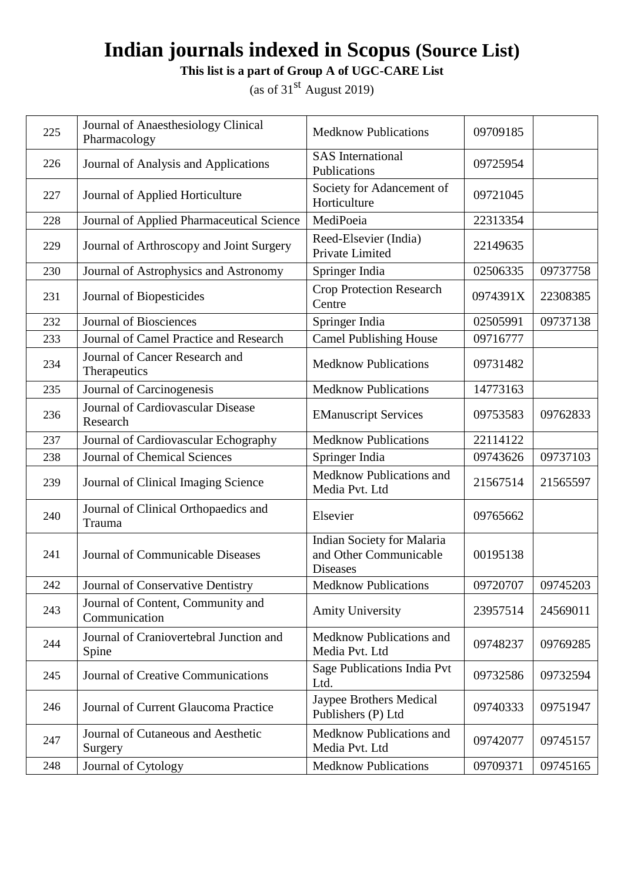**This list is a part of Group A of UGC-CARE List**

| 225 | Journal of Anaesthesiology Clinical<br>Pharmacology | <b>Medknow Publications</b>                                             | 09709185 |                     |
|-----|-----------------------------------------------------|-------------------------------------------------------------------------|----------|---------------------|
| 226 | Journal of Analysis and Applications                | <b>SAS</b> International<br>Publications                                | 09725954 |                     |
| 227 | Journal of Applied Horticulture                     | Society for Adancement of<br>Horticulture                               | 09721045 |                     |
| 228 | Journal of Applied Pharmaceutical Science           | MediPoeia                                                               | 22313354 |                     |
| 229 | Journal of Arthroscopy and Joint Surgery            | Reed-Elsevier (India)<br>Private Limited                                | 22149635 |                     |
| 230 | Journal of Astrophysics and Astronomy               | Springer India                                                          | 02506335 | 09737758            |
| 231 | Journal of Biopesticides                            | <b>Crop Protection Research</b><br>Centre                               | 0974391X | 22308385            |
| 232 | <b>Journal of Biosciences</b>                       | Springer India                                                          | 02505991 | 09737138            |
| 233 | Journal of Camel Practice and Research              | <b>Camel Publishing House</b>                                           | 09716777 |                     |
| 234 | Journal of Cancer Research and<br>Therapeutics      | <b>Medknow Publications</b>                                             | 09731482 |                     |
| 235 | Journal of Carcinogenesis                           | <b>Medknow Publications</b>                                             | 14773163 |                     |
| 236 | Journal of Cardiovascular Disease<br>Research       | <b>EManuscript Services</b>                                             | 09753583 | 09762833            |
| 237 | Journal of Cardiovascular Echography                | <b>Medknow Publications</b>                                             | 22114122 |                     |
| 238 | <b>Journal of Chemical Sciences</b>                 | Springer India                                                          | 09743626 | 09737103            |
| 239 | Journal of Clinical Imaging Science                 | Medknow Publications and<br>Media Pvt. Ltd                              | 21567514 | 21565597            |
| 240 | Journal of Clinical Orthopaedics and<br>Trauma      | Elsevier                                                                | 09765662 |                     |
| 241 | Journal of Communicable Diseases                    | Indian Society for Malaria<br>and Other Communicable<br><b>Diseases</b> | 00195138 |                     |
| 242 | Journal of Conservative Dentistry                   | <b>Medknow Publications</b>                                             |          | 09720707   09745203 |
| 243 | Journal of Content, Community and<br>Communication  | <b>Amity University</b>                                                 | 23957514 | 24569011            |
| 244 | Journal of Craniovertebral Junction and<br>Spine    | Medknow Publications and<br>Media Pvt. Ltd                              | 09748237 | 09769285            |
| 245 | Journal of Creative Communications                  | Sage Publications India Pvt<br>Ltd.                                     | 09732586 | 09732594            |
| 246 | Journal of Current Glaucoma Practice                | <b>Jaypee Brothers Medical</b><br>Publishers (P) Ltd                    | 09740333 | 09751947            |
| 247 | Journal of Cutaneous and Aesthetic<br>Surgery       | Medknow Publications and<br>Media Pvt. Ltd                              | 09742077 | 09745157            |
| 248 | Journal of Cytology                                 | <b>Medknow Publications</b>                                             | 09709371 | 09745165            |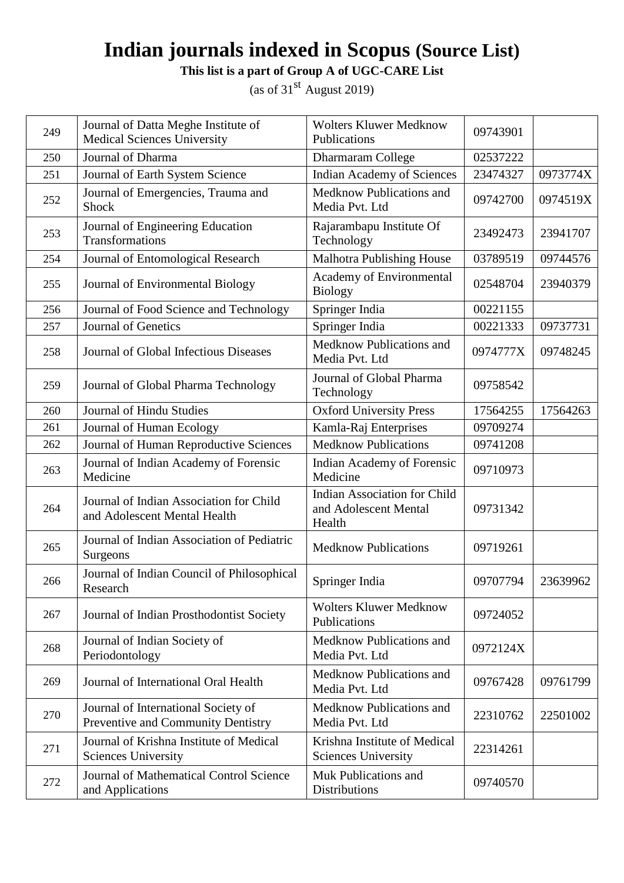**This list is a part of Group A of UGC-CARE List**

| 249 | Journal of Datta Meghe Institute of<br>Medical Sciences University        | <b>Wolters Kluwer Medknow</b><br>Publications                          | 09743901 |          |
|-----|---------------------------------------------------------------------------|------------------------------------------------------------------------|----------|----------|
| 250 | Journal of Dharma                                                         | Dharmaram College                                                      | 02537222 |          |
| 251 | Journal of Earth System Science                                           | Indian Academy of Sciences                                             | 23474327 | 0973774X |
| 252 | Journal of Emergencies, Trauma and<br>Shock                               | Medknow Publications and<br>Media Pvt. Ltd                             | 09742700 | 0974519X |
| 253 | Journal of Engineering Education<br>Transformations                       | Rajarambapu Institute Of<br>Technology                                 | 23492473 | 23941707 |
| 254 | Journal of Entomological Research                                         | <b>Malhotra Publishing House</b>                                       | 03789519 | 09744576 |
| 255 | Journal of Environmental Biology                                          | Academy of Environmental<br><b>Biology</b>                             | 02548704 | 23940379 |
| 256 | Journal of Food Science and Technology                                    | Springer India                                                         | 00221155 |          |
| 257 | Journal of Genetics                                                       | Springer India                                                         | 00221333 | 09737731 |
| 258 | Journal of Global Infectious Diseases                                     | Medknow Publications and<br>Media Pvt. Ltd                             | 0974777X | 09748245 |
| 259 | Journal of Global Pharma Technology                                       | Journal of Global Pharma<br>Technology                                 | 09758542 |          |
| 260 | <b>Journal of Hindu Studies</b>                                           | <b>Oxford University Press</b>                                         | 17564255 | 17564263 |
| 261 | Journal of Human Ecology                                                  | Kamla-Raj Enterprises                                                  | 09709274 |          |
| 262 | Journal of Human Reproductive Sciences                                    | <b>Medknow Publications</b>                                            | 09741208 |          |
| 263 | Journal of Indian Academy of Forensic<br>Medicine                         | Indian Academy of Forensic<br>Medicine                                 | 09710973 |          |
| 264 | Journal of Indian Association for Child<br>and Adolescent Mental Health   | <b>Indian Association for Child</b><br>and Adolescent Mental<br>Health | 09731342 |          |
| 265 | Journal of Indian Association of Pediatric<br>Surgeons                    | <b>Medknow Publications</b>                                            | 09719261 |          |
| 266 | Journal of Indian Council of Philosophical<br>Research                    | Springer India                                                         | 09707794 | 23639962 |
| 267 | Journal of Indian Prosthodontist Society                                  | <b>Wolters Kluwer Medknow</b><br>Publications                          | 09724052 |          |
| 268 | Journal of Indian Society of<br>Periodontology                            | Medknow Publications and<br>Media Pvt. Ltd                             | 0972124X |          |
| 269 | Journal of International Oral Health                                      | Medknow Publications and<br>Media Pvt. Ltd                             | 09767428 | 09761799 |
| 270 | Journal of International Society of<br>Preventive and Community Dentistry | Medknow Publications and<br>Media Pvt. Ltd                             | 22310762 | 22501002 |
| 271 | Journal of Krishna Institute of Medical<br><b>Sciences University</b>     | Krishna Institute of Medical<br><b>Sciences University</b>             | 22314261 |          |
| 272 | Journal of Mathematical Control Science<br>and Applications               | Muk Publications and<br>Distributions                                  | 09740570 |          |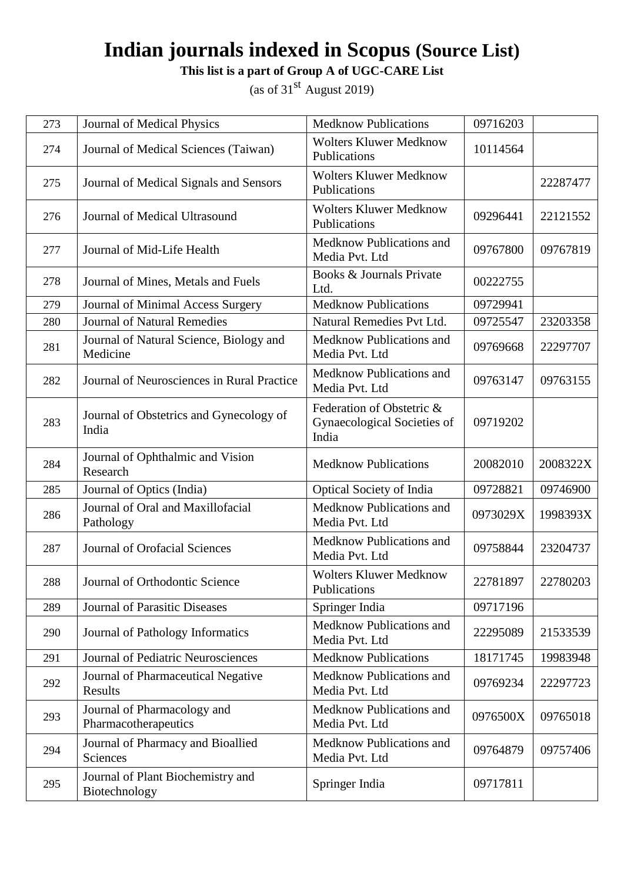**This list is a part of Group A of UGC-CARE List**

| 273 | <b>Journal of Medical Physics</b>                   | <b>Medknow Publications</b>                                       | 09716203 |          |
|-----|-----------------------------------------------------|-------------------------------------------------------------------|----------|----------|
| 274 | Journal of Medical Sciences (Taiwan)                | <b>Wolters Kluwer Medknow</b><br>Publications                     | 10114564 |          |
| 275 | Journal of Medical Signals and Sensors              | <b>Wolters Kluwer Medknow</b><br>Publications                     |          | 22287477 |
| 276 | Journal of Medical Ultrasound                       | <b>Wolters Kluwer Medknow</b><br>Publications                     | 09296441 | 22121552 |
| 277 | Journal of Mid-Life Health                          | Medknow Publications and<br>Media Pvt. Ltd                        | 09767800 | 09767819 |
| 278 | Journal of Mines, Metals and Fuels                  | Books & Journals Private<br>Ltd.                                  | 00222755 |          |
| 279 | Journal of Minimal Access Surgery                   | <b>Medknow Publications</b>                                       | 09729941 |          |
| 280 | <b>Journal of Natural Remedies</b>                  | Natural Remedies Pvt Ltd.                                         | 09725547 | 23203358 |
| 281 | Journal of Natural Science, Biology and<br>Medicine | Medknow Publications and<br>Media Pvt. Ltd                        | 09769668 | 22297707 |
| 282 | Journal of Neurosciences in Rural Practice          | Medknow Publications and<br>Media Pvt. Ltd                        | 09763147 | 09763155 |
| 283 | Journal of Obstetrics and Gynecology of<br>India    | Federation of Obstetric &<br>Gynaecological Societies of<br>India | 09719202 |          |
| 284 | Journal of Ophthalmic and Vision<br>Research        | <b>Medknow Publications</b>                                       | 20082010 | 2008322X |
| 285 | Journal of Optics (India)                           | Optical Society of India                                          | 09728821 | 09746900 |
| 286 | Journal of Oral and Maxillofacial<br>Pathology      | Medknow Publications and<br>Media Pvt. Ltd                        | 0973029X | 1998393X |
| 287 | <b>Journal of Orofacial Sciences</b>                | Medknow Publications and<br>Media Pvt. Ltd                        | 09758844 | 23204737 |
| 288 | Journal of Orthodontic Science                      | <b>Wolters Kluwer Medknow</b><br>Publications                     | 22781897 | 22780203 |
| 289 | <b>Journal of Parasitic Diseases</b>                | Springer India                                                    | 09717196 |          |
| 290 | Journal of Pathology Informatics                    | Medknow Publications and<br>Media Pvt. Ltd                        | 22295089 | 21533539 |
| 291 | Journal of Pediatric Neurosciences                  | <b>Medknow Publications</b>                                       | 18171745 | 19983948 |
| 292 | Journal of Pharmaceutical Negative<br>Results       | Medknow Publications and<br>Media Pvt. Ltd                        | 09769234 | 22297723 |
| 293 | Journal of Pharmacology and<br>Pharmacotherapeutics | Medknow Publications and<br>Media Pvt. Ltd                        | 0976500X | 09765018 |
| 294 | Journal of Pharmacy and Bioallied<br>Sciences       | Medknow Publications and<br>Media Pvt. Ltd                        | 09764879 | 09757406 |
| 295 | Journal of Plant Biochemistry and<br>Biotechnology  | Springer India                                                    | 09717811 |          |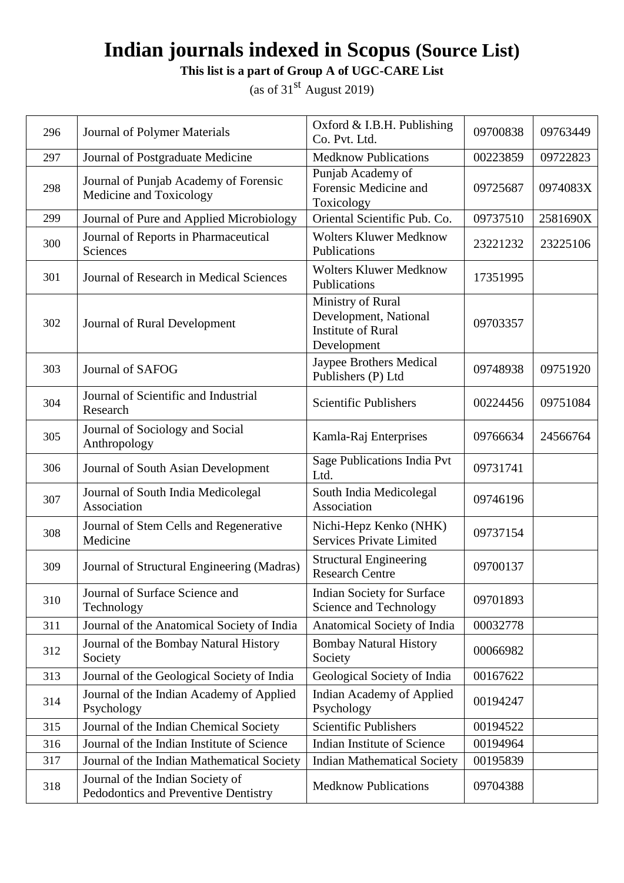**This list is a part of Group A of UGC-CARE List**

| 296 | Journal of Polymer Materials                                             | Oxford $&$ I.B.H. Publishing<br>Co. Pvt. Ltd.                                          | 09700838 | 09763449 |
|-----|--------------------------------------------------------------------------|----------------------------------------------------------------------------------------|----------|----------|
| 297 | Journal of Postgraduate Medicine                                         | <b>Medknow Publications</b>                                                            | 00223859 | 09722823 |
| 298 | Journal of Punjab Academy of Forensic<br>Medicine and Toxicology         | Punjab Academy of<br>Forensic Medicine and<br>Toxicology                               | 09725687 | 0974083X |
| 299 | Journal of Pure and Applied Microbiology                                 | Oriental Scientific Pub. Co.                                                           | 09737510 | 2581690X |
| 300 | Journal of Reports in Pharmaceutical<br>Sciences                         | <b>Wolters Kluwer Medknow</b><br>Publications                                          | 23221232 | 23225106 |
| 301 | Journal of Research in Medical Sciences                                  | <b>Wolters Kluwer Medknow</b><br>Publications                                          | 17351995 |          |
| 302 | Journal of Rural Development                                             | Ministry of Rural<br>Development, National<br><b>Institute of Rural</b><br>Development | 09703357 |          |
| 303 | Journal of SAFOG                                                         | Jaypee Brothers Medical<br>Publishers (P) Ltd                                          | 09748938 | 09751920 |
| 304 | Journal of Scientific and Industrial<br>Research                         | <b>Scientific Publishers</b>                                                           | 00224456 | 09751084 |
| 305 | Journal of Sociology and Social<br>Anthropology                          | Kamla-Raj Enterprises                                                                  | 09766634 | 24566764 |
| 306 | Journal of South Asian Development                                       | Sage Publications India Pvt<br>Ltd.                                                    | 09731741 |          |
| 307 | Journal of South India Medicolegal<br>Association                        | South India Medicolegal<br>Association                                                 | 09746196 |          |
| 308 | Journal of Stem Cells and Regenerative<br>Medicine                       | Nichi-Hepz Kenko (NHK)<br><b>Services Private Limited</b>                              | 09737154 |          |
| 309 | Journal of Structural Engineering (Madras)                               | <b>Structural Engineering</b><br><b>Research Centre</b>                                | 09700137 |          |
| 310 | Journal of Surface Science and<br>Technology                             | <b>Indian Society for Surface</b><br>Science and Technology                            | 09701893 |          |
| 311 | Journal of the Anatomical Society of India                               | Anatomical Society of India                                                            | 00032778 |          |
| 312 | Journal of the Bombay Natural History<br>Society                         | <b>Bombay Natural History</b><br>Society                                               | 00066982 |          |
| 313 | Journal of the Geological Society of India                               | Geological Society of India                                                            | 00167622 |          |
| 314 | Journal of the Indian Academy of Applied<br>Psychology                   | <b>Indian Academy of Applied</b><br>Psychology                                         | 00194247 |          |
| 315 | Journal of the Indian Chemical Society                                   | <b>Scientific Publishers</b>                                                           | 00194522 |          |
| 316 | Journal of the Indian Institute of Science                               | Indian Institute of Science                                                            | 00194964 |          |
| 317 | Journal of the Indian Mathematical Society                               | <b>Indian Mathematical Society</b>                                                     | 00195839 |          |
| 318 | Journal of the Indian Society of<br>Pedodontics and Preventive Dentistry | <b>Medknow Publications</b>                                                            | 09704388 |          |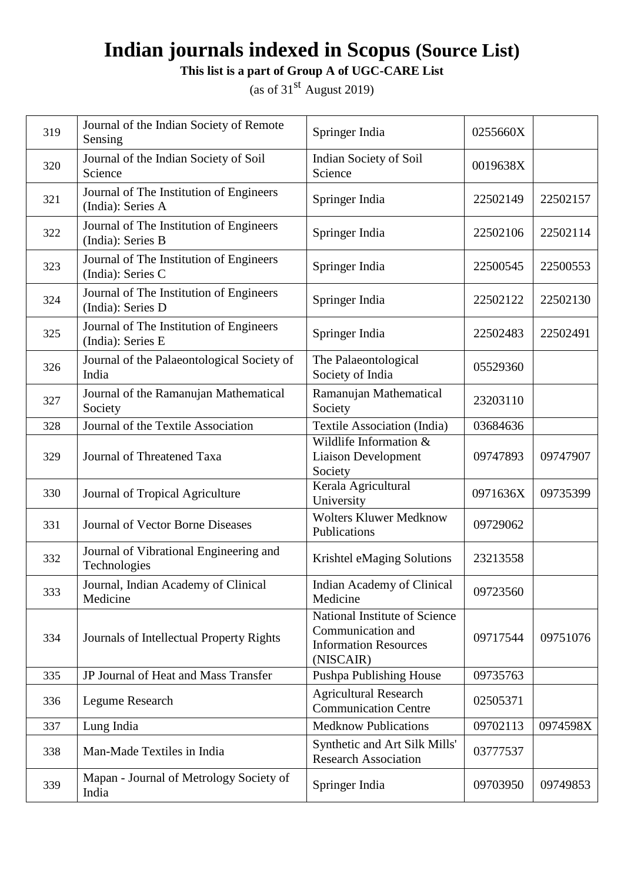**This list is a part of Group A of UGC-CARE List**

| 319 | Journal of the Indian Society of Remote<br>Sensing           | Springer India                                                                                  | 0255660X |          |
|-----|--------------------------------------------------------------|-------------------------------------------------------------------------------------------------|----------|----------|
| 320 | Journal of the Indian Society of Soil<br>Science             | Indian Society of Soil<br>Science                                                               | 0019638X |          |
| 321 | Journal of The Institution of Engineers<br>(India): Series A | Springer India                                                                                  | 22502149 | 22502157 |
| 322 | Journal of The Institution of Engineers<br>(India): Series B | Springer India                                                                                  | 22502106 | 22502114 |
| 323 | Journal of The Institution of Engineers<br>(India): Series C | Springer India                                                                                  | 22500545 | 22500553 |
| 324 | Journal of The Institution of Engineers<br>(India): Series D | Springer India                                                                                  | 22502122 | 22502130 |
| 325 | Journal of The Institution of Engineers<br>(India): Series E | Springer India                                                                                  | 22502483 | 22502491 |
| 326 | Journal of the Palaeontological Society of<br>India          | The Palaeontological<br>Society of India                                                        | 05529360 |          |
| 327 | Journal of the Ramanujan Mathematical<br>Society             | Ramanujan Mathematical<br>Society                                                               | 23203110 |          |
| 328 | Journal of the Textile Association                           | Textile Association (India)                                                                     | 03684636 |          |
| 329 | Journal of Threatened Taxa                                   | Wildlife Information &<br><b>Liaison Development</b><br>Society                                 | 09747893 | 09747907 |
| 330 | Journal of Tropical Agriculture                              | Kerala Agricultural<br>University                                                               | 0971636X | 09735399 |
| 331 | Journal of Vector Borne Diseases                             | <b>Wolters Kluwer Medknow</b><br>Publications                                                   | 09729062 |          |
| 332 | Journal of Vibrational Engineering and<br>Technologies       | Krishtel eMaging Solutions                                                                      | 23213558 |          |
| 333 | Journal, Indian Academy of Clinical<br>Medicine              | Indian Academy of Clinical<br>Medicine                                                          | 09723560 |          |
| 334 | Journals of Intellectual Property Rights                     | National Institute of Science<br>Communication and<br><b>Information Resources</b><br>(NISCAIR) | 09717544 | 09751076 |
| 335 | JP Journal of Heat and Mass Transfer                         | Pushpa Publishing House                                                                         | 09735763 |          |
| 336 | Legume Research                                              | <b>Agricultural Research</b><br><b>Communication Centre</b>                                     | 02505371 |          |
| 337 | Lung India                                                   | <b>Medknow Publications</b>                                                                     | 09702113 | 0974598X |
| 338 | Man-Made Textiles in India                                   | Synthetic and Art Silk Mills'<br><b>Research Association</b>                                    | 03777537 |          |
| 339 | Mapan - Journal of Metrology Society of<br>India             | Springer India                                                                                  | 09703950 | 09749853 |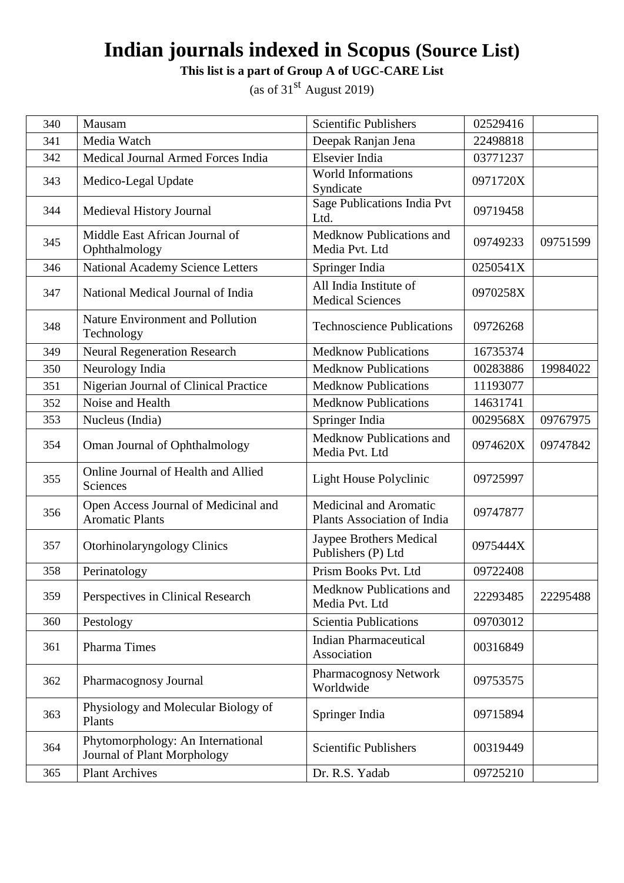**This list is a part of Group A of UGC-CARE List**

| 340 | Mausam                                                           | <b>Scientific Publishers</b>                          | 02529416 |          |
|-----|------------------------------------------------------------------|-------------------------------------------------------|----------|----------|
| 341 | Media Watch                                                      | Deepak Ranjan Jena                                    | 22498818 |          |
| 342 | Medical Journal Armed Forces India                               | Elsevier India                                        | 03771237 |          |
| 343 | Medico-Legal Update                                              | World Informations<br>Syndicate                       | 0971720X |          |
| 344 | Medieval History Journal                                         | <b>Sage Publications India Pvt</b><br>Ltd.            | 09719458 |          |
| 345 | Middle East African Journal of<br>Ophthalmology                  | Medknow Publications and<br>Media Pvt. Ltd            | 09749233 | 09751599 |
| 346 | <b>National Academy Science Letters</b>                          | Springer India                                        | 0250541X |          |
| 347 | National Medical Journal of India                                | All India Institute of<br><b>Medical Sciences</b>     | 0970258X |          |
| 348 | Nature Environment and Pollution<br>Technology                   | <b>Technoscience Publications</b>                     | 09726268 |          |
| 349 | <b>Neural Regeneration Research</b>                              | <b>Medknow Publications</b>                           | 16735374 |          |
| 350 | Neurology India                                                  | <b>Medknow Publications</b>                           | 00283886 | 19984022 |
| 351 | Nigerian Journal of Clinical Practice                            | <b>Medknow Publications</b>                           | 11193077 |          |
| 352 | Noise and Health                                                 | <b>Medknow Publications</b>                           | 14631741 |          |
| 353 | Nucleus (India)                                                  | Springer India                                        | 0029568X | 09767975 |
| 354 | Oman Journal of Ophthalmology                                    | Medknow Publications and<br>Media Pvt. Ltd            | 0974620X | 09747842 |
| 355 | Online Journal of Health and Allied<br>Sciences                  | Light House Polyclinic                                | 09725997 |          |
| 356 | Open Access Journal of Medicinal and<br><b>Aromatic Plants</b>   | Medicinal and Aromatic<br>Plants Association of India | 09747877 |          |
| 357 | Otorhinolaryngology Clinics                                      | Jaypee Brothers Medical<br>Publishers (P) Ltd         | 0975444X |          |
| 358 | Perinatology                                                     | Prism Books Pvt. Ltd                                  | 09722408 |          |
| 359 | Perspectives in Clinical Research                                | Medknow Publications and<br>Media Pvt. Ltd            | 22293485 | 22295488 |
| 360 | Pestology                                                        | <b>Scientia Publications</b>                          | 09703012 |          |
| 361 | Pharma Times                                                     | <b>Indian Pharmaceutical</b><br>Association           | 00316849 |          |
| 362 | Pharmacognosy Journal                                            | Pharmacognosy Network<br>Worldwide                    | 09753575 |          |
| 363 | Physiology and Molecular Biology of<br>Plants                    | Springer India                                        | 09715894 |          |
| 364 | Phytomorphology: An International<br>Journal of Plant Morphology | <b>Scientific Publishers</b>                          | 00319449 |          |
| 365 | <b>Plant Archives</b>                                            | Dr. R.S. Yadab                                        | 09725210 |          |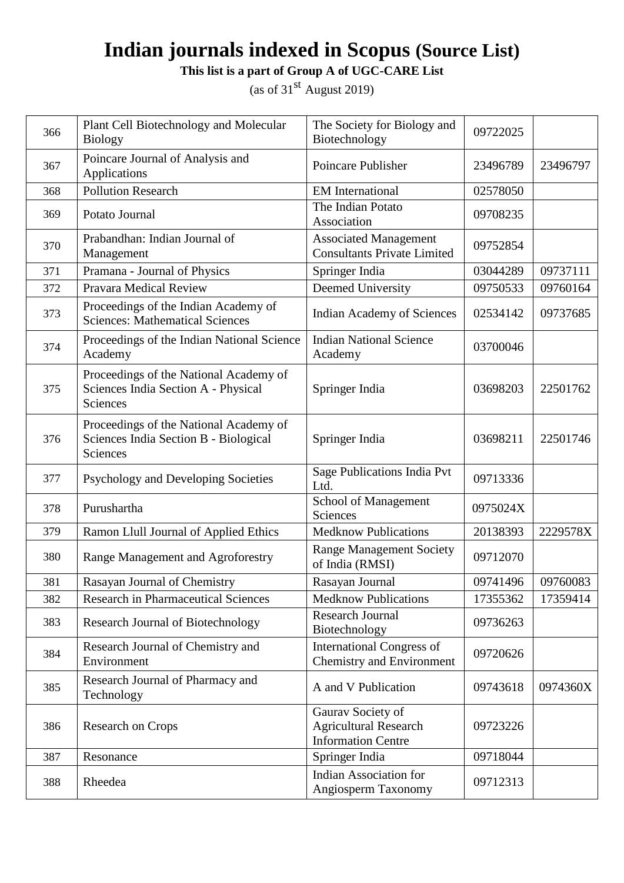**This list is a part of Group A of UGC-CARE List**

| 366 | Plant Cell Biotechnology and Molecular<br><b>Biology</b>                                    | The Society for Biology and<br>Biotechnology                                   | 09722025 |          |
|-----|---------------------------------------------------------------------------------------------|--------------------------------------------------------------------------------|----------|----------|
| 367 | Poincare Journal of Analysis and<br>Applications                                            | Poincare Publisher                                                             | 23496789 | 23496797 |
| 368 | <b>Pollution Research</b>                                                                   | <b>EM</b> International                                                        | 02578050 |          |
| 369 | Potato Journal                                                                              | The Indian Potato<br>Association                                               | 09708235 |          |
| 370 | Prabandhan: Indian Journal of<br>Management                                                 | <b>Associated Management</b><br><b>Consultants Private Limited</b>             | 09752854 |          |
| 371 | Pramana - Journal of Physics                                                                | Springer India                                                                 | 03044289 | 09737111 |
| 372 | Pravara Medical Review                                                                      | Deemed University                                                              | 09750533 | 09760164 |
| 373 | Proceedings of the Indian Academy of<br><b>Sciences: Mathematical Sciences</b>              | <b>Indian Academy of Sciences</b>                                              | 02534142 | 09737685 |
| 374 | Proceedings of the Indian National Science<br>Academy                                       | <b>Indian National Science</b><br>Academy                                      | 03700046 |          |
| 375 | Proceedings of the National Academy of<br>Sciences India Section A - Physical<br>Sciences   | Springer India                                                                 | 03698203 | 22501762 |
| 376 | Proceedings of the National Academy of<br>Sciences India Section B - Biological<br>Sciences | Springer India                                                                 | 03698211 | 22501746 |
| 377 | Psychology and Developing Societies                                                         | Sage Publications India Pvt<br>Ltd.                                            | 09713336 |          |
| 378 | Purushartha                                                                                 | School of Management<br>Sciences                                               | 0975024X |          |
| 379 | Ramon Llull Journal of Applied Ethics                                                       | <b>Medknow Publications</b>                                                    | 20138393 | 2229578X |
| 380 | Range Management and Agroforestry                                                           | <b>Range Management Society</b><br>of India (RMSI)                             | 09712070 |          |
| 381 | Rasayan Journal of Chemistry                                                                | Rasayan Journal                                                                | 09741496 | 09760083 |
| 382 | <b>Research in Pharmaceutical Sciences</b>                                                  | <b>Medknow Publications</b>                                                    | 17355362 | 17359414 |
| 383 | Research Journal of Biotechnology                                                           | <b>Research Journal</b><br>Biotechnology                                       | 09736263 |          |
| 384 | Research Journal of Chemistry and<br>Environment                                            | <b>International Congress of</b><br><b>Chemistry and Environment</b>           | 09720626 |          |
| 385 | Research Journal of Pharmacy and<br>Technology                                              | A and V Publication                                                            | 09743618 | 0974360X |
| 386 | <b>Research on Crops</b>                                                                    | Gaurav Society of<br><b>Agricultural Research</b><br><b>Information Centre</b> | 09723226 |          |
| 387 | Resonance                                                                                   | Springer India                                                                 | 09718044 |          |
| 388 | Rheedea                                                                                     | <b>Indian Association for</b><br>Angiosperm Taxonomy                           | 09712313 |          |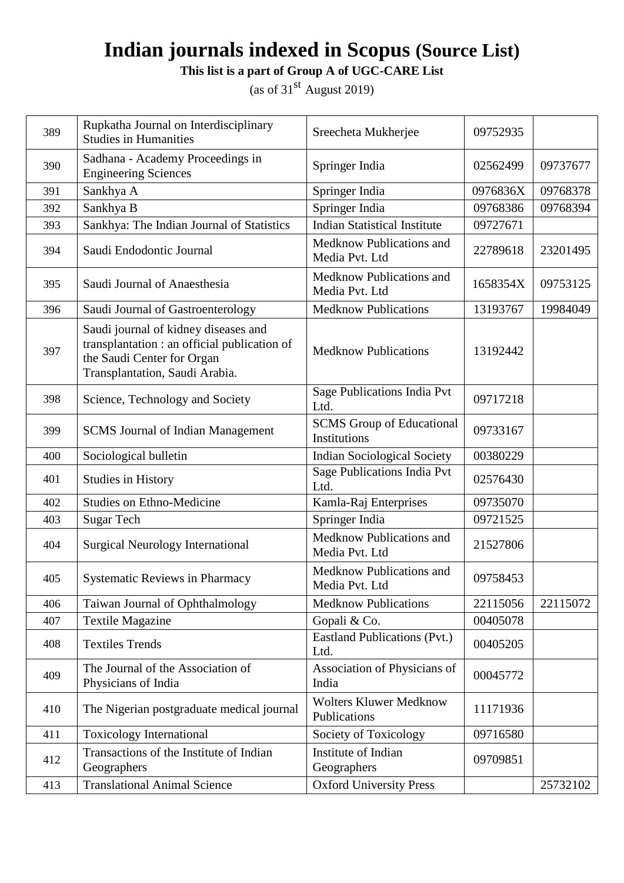**This list is a part of Group A of UGC-CARE List**

| 389 | Rupkatha Journal on Interdisciplinary<br><b>Studies in Humanities</b>                                                                                | Sreecheta Mukherjee                              | 09752935 |          |
|-----|------------------------------------------------------------------------------------------------------------------------------------------------------|--------------------------------------------------|----------|----------|
| 390 | Sadhana - Academy Proceedings in<br><b>Engineering Sciences</b>                                                                                      | Springer India                                   | 02562499 | 09737677 |
| 391 | Sankhya A                                                                                                                                            | Springer India                                   | 0976836X | 09768378 |
| 392 | Sankhya B                                                                                                                                            | Springer India                                   | 09768386 | 09768394 |
| 393 | Sankhya: The Indian Journal of Statistics                                                                                                            | <b>Indian Statistical Institute</b>              | 09727671 |          |
| 394 | Saudi Endodontic Journal                                                                                                                             | Medknow Publications and<br>Media Pvt. Ltd       | 22789618 | 23201495 |
| 395 | Saudi Journal of Anaesthesia                                                                                                                         | Medknow Publications and<br>Media Pvt. Ltd       | 1658354X | 09753125 |
| 396 | Saudi Journal of Gastroenterology                                                                                                                    | <b>Medknow Publications</b>                      | 13193767 | 19984049 |
| 397 | Saudi journal of kidney diseases and<br>transplantation : an official publication of<br>the Saudi Center for Organ<br>Transplantation, Saudi Arabia. | <b>Medknow Publications</b>                      | 13192442 |          |
| 398 | Science, Technology and Society                                                                                                                      | Sage Publications India Pvt<br>Ltd.              | 09717218 |          |
| 399 | <b>SCMS</b> Journal of Indian Management                                                                                                             | <b>SCMS</b> Group of Educational<br>Institutions | 09733167 |          |
| 400 | Sociological bulletin                                                                                                                                | <b>Indian Sociological Society</b>               | 00380229 |          |
| 401 | <b>Studies in History</b>                                                                                                                            | Sage Publications India Pvt<br>Ltd.              | 02576430 |          |
| 402 | <b>Studies on Ethno-Medicine</b>                                                                                                                     | Kamla-Raj Enterprises                            | 09735070 |          |
| 403 | <b>Sugar Tech</b>                                                                                                                                    | Springer India                                   | 09721525 |          |
| 404 | <b>Surgical Neurology International</b>                                                                                                              | Medknow Publications and<br>Media Pvt. Ltd       | 21527806 |          |
| 405 | <b>Systematic Reviews in Pharmacy</b>                                                                                                                | Medknow Publications and<br>Media Pvt. Ltd       | 09758453 |          |
| 406 | Taiwan Journal of Ophthalmology                                                                                                                      | <b>Medknow Publications</b>                      | 22115056 | 22115072 |
| 407 | <b>Textile Magazine</b>                                                                                                                              | Gopali & Co.                                     | 00405078 |          |
| 408 | <b>Textiles Trends</b>                                                                                                                               | <b>Eastland Publications (Pvt.)</b><br>Ltd.      | 00405205 |          |
| 409 | The Journal of the Association of<br>Physicians of India                                                                                             | Association of Physicians of<br>India            | 00045772 |          |
| 410 | The Nigerian postgraduate medical journal                                                                                                            | Wolters Kluwer Medknow<br>Publications           | 11171936 |          |
| 411 | <b>Toxicology International</b>                                                                                                                      | Society of Toxicology                            | 09716580 |          |
| 412 | Transactions of the Institute of Indian<br>Geographers                                                                                               | Institute of Indian<br>Geographers               | 09709851 |          |
| 413 | <b>Translational Animal Science</b>                                                                                                                  | <b>Oxford University Press</b>                   |          | 25732102 |